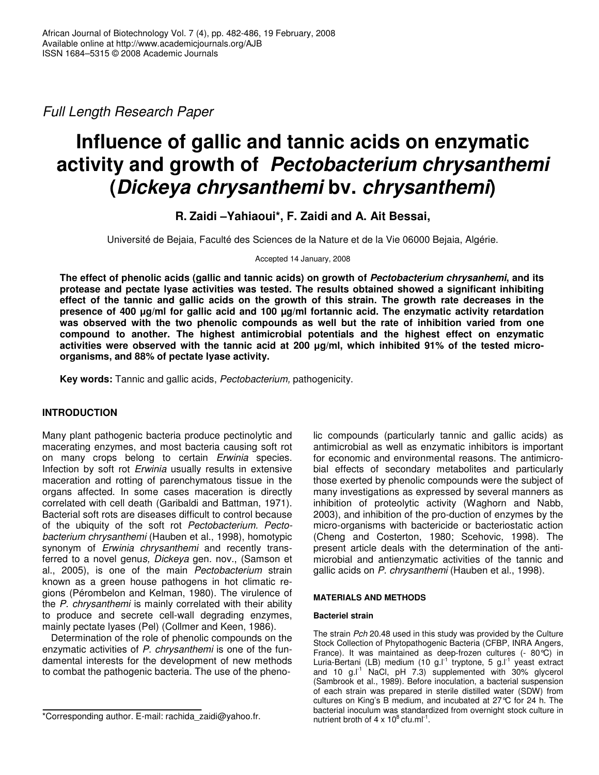*Full Length Research Paper*

# **Influence of gallic and tannic acids on enzymatic activity and growth of** *Pectobacterium chrysanthemi* **(***Dickeya chrysanthemi* **bv.** *chrysanthemi***)**

**R. Zaidi –Yahiaoui\*, F. Zaidi and A. Ait Bessai,**

Université de Bejaia, Faculté des Sciences de la Nature et de la Vie 06000 Bejaia, Algérie.

Accepted 14 January, 2008

**The effect of phenolic acids (gallic and tannic acids) on growth of** *Pectobacterium chrysanhemi***, and its protease and pectate lyase activities was tested. The results obtained showed a significant inhibiting** effect of the tannic and gallic acids on the growth of this strain. The growth rate decreases in the **presence of 400 g/ml for gallic acid and 100 µg/ml fortannic acid. The enzymatic activity retardation was observed with the two phenolic compounds as well but the rate of inhibition varied from one compound to another. The highest antimicrobial potentials and the highest effect on enzymatic activities were observed with the tannic acid at 200 g/ml, which inhibited 91% of the tested microorganisms, and 88% of pectate lyase activity.**

**Key words:** Tannic and gallic acids, *Pectobacterium,* pathogenicity.

# **INTRODUCTION**

Many plant pathogenic bacteria produce pectinolytic and macerating enzymes, and most bacteria causing soft rot on many crops belong to certain *Erwinia* species. Infection by soft rot *Erwinia* usually results in extensive maceration and rotting of parenchymatous tissue in the organs affected. In some cases maceration is directly correlated with cell death (Garibaldi and Battman, 1971). Bacterial soft rots are diseases difficult to control because of the ubiquity of the soft rot *Pectobacterium. Pectobacterium chrysanthemi* (Hauben et al., 1998), homotypic synonym of *Erwinia chrysanthemi* and recently transferred to a novel genu*s, Dickeya* gen*.* nov., (Samson et al., 2005), is one of the main *Pectobacterium* strain known as a green house pathogens in hot climatic regions (Pérombelon and Kelman, 1980). The virulence of the *P. chrysanthemi* is mainly correlated with their ability to produce and secrete cell-wall degrading enzymes, mainly pectate lyases (Pel) (Collmer and Keen, 1986).

Determination of the role of phenolic compounds on the enzymatic activities of *P. chrysanthemi* is one of the fundamental interests for the development of new methods to combat the pathogenic bacteria. The use of the phenolic compounds (particularly tannic and gallic acids) as antimicrobial as well as enzymatic inhibitors is important for economic and environmental reasons. The antimicrobial effects of secondary metabolites and particularly those exerted by phenolic compounds were the subject of many investigations as expressed by several manners as inhibition of proteolytic activity (Waghorn and Nabb, 2003), and inhibition of the pro-duction of enzymes by the micro-organisms with bactericide or bacteriostatic action (Cheng and Costerton, 1980; Scehovic, 1998). The present article deals with the determination of the antimicrobial and antienzymatic activities of the tannic and gallic acids on *P. chrysanthemi* (Hauben et al., 1998).

## **MATERIALS AND METHODS**

## **Bacteriel strain**

The strain *Pch* 20.48 used in this study was provided by the Culture Stock Collection of Phytopathogenic Bacteria (CFBP, INRA Angers, France). It was maintained as deep-frozen cultures (- 80°C) in Luria-Bertani (LB) medium (10 g.l<sup>-1</sup> tryptone, 5 g.l<sup>-1</sup> yeast extract and 10 g.l -1 NaCl, pH 7.3) supplemented with 30% glycerol (Sambrook et al., 1989). Before inoculation, a bacterial suspension of each strain was prepared in sterile distilled water (SDW) from cultures on King's B medium, and incubated at 27°C for 24 h. The bacterial inoculum was standardized from overnight stock culture in nutrient broth of  $4 \times 10^8$  cfu.ml<sup>-1</sup>.

<sup>\*</sup>Corresponding author. E-mail: rachida\_zaidi@yahoo.fr.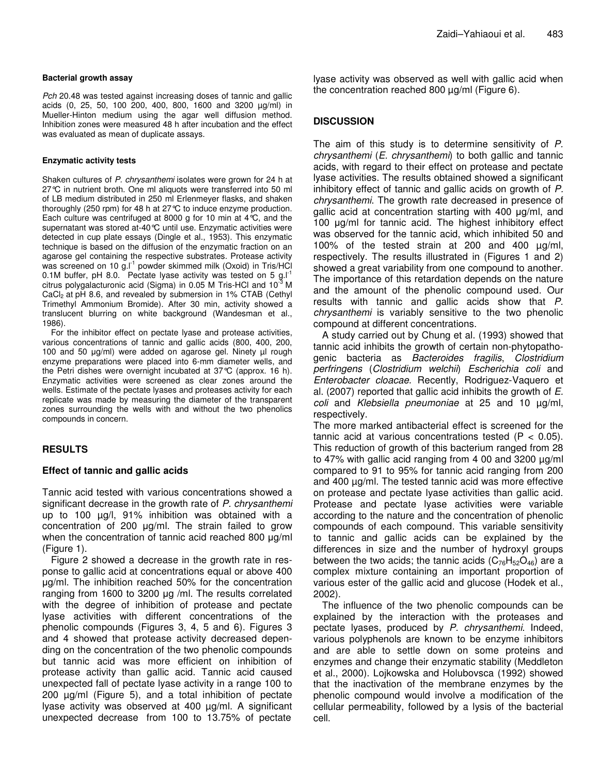#### **Bacterial growth assay**

*Pch* 20.48 was tested against increasing doses of tannic and gallic acids (0, 25, 50, 100 200, 400, 800, 1600 and 3200 µg/ml) in Mueller-Hinton medium using the agar well diffusion method. Inhibition zones were measured 48 h after incubation and the effect was evaluated as mean of duplicate assays.

#### **Enzymatic activity tests**

Shaken cultures of *P. chrysanthemi* isolates were grown for 24 h at 27℃ in nutrient broth. One ml aliquots were transferred into 50 ml of LB medium distributed in 250 ml Erlenmeyer flasks, and shaken thoroughly (250 rpm) for 48 h at 27°C to induce enzyme production. Each culture was centrifuged at 8000 g for 10 min at 4°C, and the supernatant was stored at-40°C until use. Enzymatic activities were detected in cup plate essays (Dingle et al., 1953). This enzymatic technique is based on the diffusion of the enzymatic fraction on an agarose gel containing the respective substrates. Protease activity was screened on 10 g.l<sup>-1</sup> powder skimmed milk (Oxoid) in Tris/HCl 0.1M buffer, pH 8.0. Pectate lyase activity was tested on 5 g. $I<sup>-1</sup>$ citrus polygalacturonic acid (Sigma) in 0.05 M Tris-HCl and 10<sup>-3</sup> M CaCl<sub>2</sub> at pH 8.6, and revealed by submersion in 1% CTAB (Cethyl Trimethyl Ammonium Bromide). After 30 min, activity showed a translucent blurring on white background (Wandesman et al., 1986).

For the inhibitor effect on pectate lyase and protease activities, various concentrations of tannic and gallic acids (800, 400, 200, 100 and 50  $\mu$ g/ml) were added on agarose gel. Ninety  $\mu$ l rough enzyme preparations were placed into 6-mm diameter wells, and the Petri dishes were overnight incubated at 37°C (approx. 16 h). Enzymatic activities were screened as clear zones around the wells. Estimate of the pectate lyases and proteases activity for each replicate was made by measuring the diameter of the transparent zones surrounding the wells with and without the two phenolics compounds in concern.

## **RESULTS**

## **Effect of tannic and gallic acids**

Tannic acid tested with various concentrations showed a significant decrease in the growth rate of *P. chrysanthemi* up to 100 µg/l, 91% inhibition was obtained with a concentration of 200  $\mu$ g/ml. The strain failed to grow when the concentration of tannic acid reached 800 µg/ml (Figure 1).

Figure 2 showed a decrease in the growth rate in response to gallic acid at concentrations equal or above 400 g/ml. The inhibition reached 50% for the concentration ranging from 1600 to 3200  $\mu$ g /ml. The results correlated with the degree of inhibition of protease and pectate lyase activities with different concentrations of the phenolic compounds (Figures 3, 4, 5 and 6). Figures 3 and 4 showed that protease activity decreased depending on the concentration of the two phenolic compounds but tannic acid was more efficient on inhibition of protease activity than gallic acid. Tannic acid caused unexpected fall of pectate lyase activity in a range 100 to 200 µg/ml (Figure 5), and a total inhibition of pectate lyase activity was observed at 400 µg/ml. A significant unexpected decrease from 100 to 13.75% of pectate

lyase activity was observed as well with gallic acid when the concentration reached 800 µg/ml (Figure 6).

## **DISCUSSION**

The aim of this study is to determine sensitivity of *P. chrysanthemi* (*E. chrysanthemi*) to both gallic and tannic acids, with regard to their effect on protease and pectate lyase activities. The results obtained showed a significant inhibitory effect of tannic and gallic acids on growth of *P. chrysanthemi*. The growth rate decreased in presence of gallic acid at concentration starting with 400  $\mu$ g/ml, and 100  $\mu$ g/ml for tannic acid. The highest inhibitory effect was observed for the tannic acid, which inhibited 50 and 100% of the tested strain at 200 and 400 µg/ml, respectively. The results illustrated in (Figures 1 and 2) showed a great variability from one compound to another. The importance of this retardation depends on the nature and the amount of the phenolic compound used. Our results with tannic and gallic acids show that *P. chrysanthemi* is variably sensitive to the two phenolic compound at different concentrations.

A study carried out by Chung et al. (1993) showed that tannic acid inhibits the growth of certain non-phytopathogenic bacteria as *Bacteroides fragilis*, *Clostridium perfringens* (*Clostridium welchii*) *Escherichia coli* and *Enterobacter cloacae*. Recently, Rodriguez-Vaquero et al. (2007) reported that gallic acid inhibits the growth of *E. coli* and *Klebsiella pneumoniae* at 25 and 10 µg/ml, respectively.

The more marked antibacterial effect is screened for the tannic acid at various concentrations tested  $(P < 0.05)$ . This reduction of growth of this bacterium ranged from 28 to 47% with gallic acid ranging from 4 00 and 3200 µg/ml compared to 91 to 95% for tannic acid ranging from 200 and 400 µg/ml. The tested tannic acid was more effective on protease and pectate lyase activities than gallic acid. Protease and pectate lyase activities were variable according to the nature and the concentration of phenolic compounds of each compound. This variable sensitivity to tannic and gallic acids can be explained by the differences in size and the number of hydroxyl groups between the two acids; the tannic acids  $(C_{76}H_{52}O_{46})$  are a complex mixture containing an important proportion of various ester of the gallic acid and glucose (Hodek et al., 2002).

The influence of the two phenolic compounds can be explained by the interaction with the proteases and pectate lyases, produced by *P. chrysanthemi*. Indeed, various polyphenols are known to be enzyme inhibitors and are able to settle down on some proteins and enzymes and change their enzymatic stability (Meddleton et al., 2000). Lojkowska and Holubovsca (1992) showed that the inactivation of the membrane enzymes by the phenolic compound would involve a modification of the cellular permeability, followed by a lysis of the bacterial cell.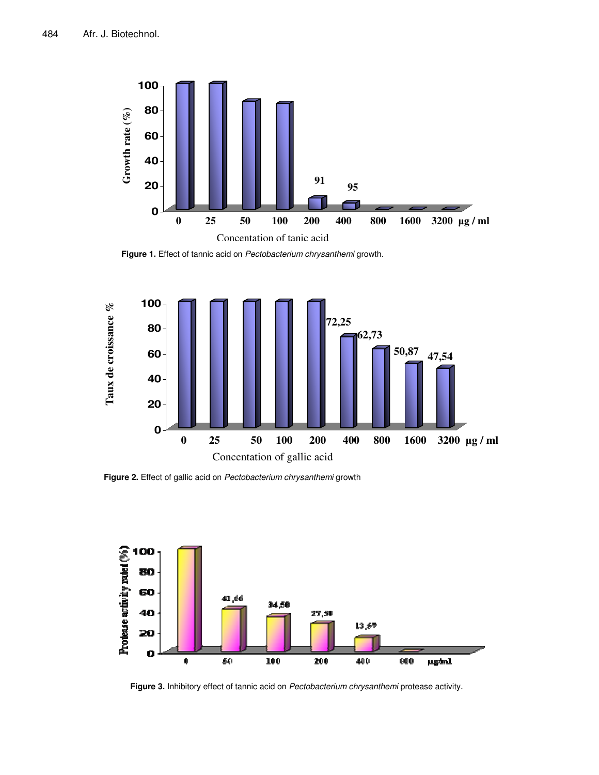

**Figure 1.** Effect of tannic acid on *Pectobacterium chrysanthemi* growth.



**Figure 2.** Effect of gallic acid on *Pectobacterium chrysanthemi* growth



**Figure 3.** Inhibitory effect of tannic acid on *Pectobacterium chrysanthemi* protease activity.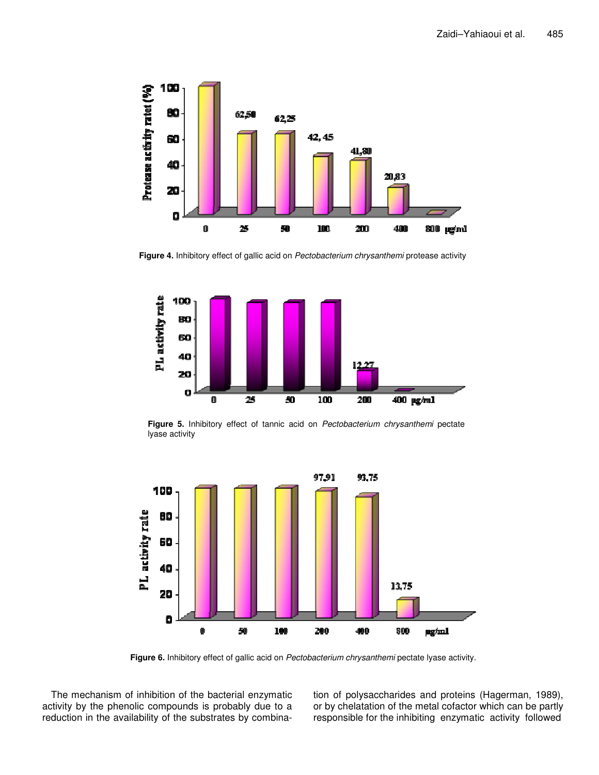

**Figure 4.** Inhibitory effect of gallic acid on *Pectobacterium chrysanthemi* protease activity



**Figure 5.** Inhibitory effect of tannic acid on *Pectobacterium chrysanthemi* pectate lyase activity



**Figure 6.** Inhibitory effect of gallic acid on *Pectobacterium chrysanthemi* pectate lyase activity.

The mechanism of inhibition of the bacterial enzymatic activity by the phenolic compounds is probably due to a reduction in the availability of the substrates by combination of polysaccharides and proteins (Hagerman, 1989), or by chelatation of the metal cofactor which can be partly responsible for the inhibiting enzymatic activity followed